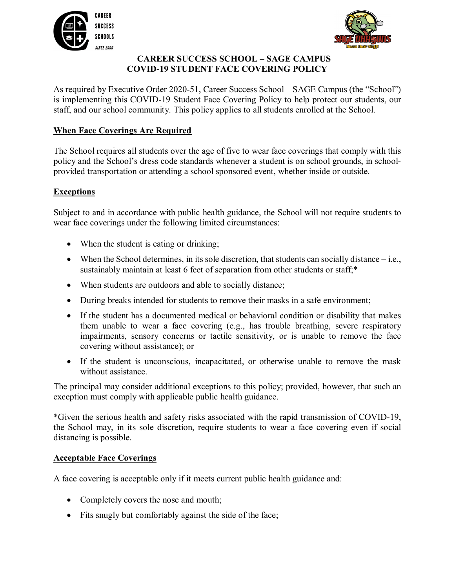



# **CAREER SUCCESS SCHOOL – SAGE CAMPUS COVID-19 STUDENT FACE COVERING POLICY**

As required by Executive Order 2020-51, Career Success School – SAGE Campus (the "School") is implementing this COVID-19 Student Face Covering Policy to help protect our students, our staff, and our school community. This policy applies to all students enrolled at the School.

# **When Face Coverings Are Required**

The School requires all students over the age of five to wear face coverings that comply with this policy and the School's dress code standards whenever a student is on school grounds, in schoolprovided transportation or attending a school sponsored event, whether inside or outside.

# **Exceptions**

Subject to and in accordance with public health guidance, the School will not require students to wear face coverings under the following limited circumstances:

- When the student is eating or drinking;
- When the School determines, in its sole discretion, that students can socially distance i.e., sustainably maintain at least 6 feet of separation from other students or staff;\*
- When students are outdoors and able to socially distance;
- During breaks intended for students to remove their masks in a safe environment;
- If the student has a documented medical or behavioral condition or disability that makes them unable to wear a face covering (e.g., has trouble breathing, severe respiratory impairments, sensory concerns or tactile sensitivity, or is unable to remove the face covering without assistance); or
- If the student is unconscious, incapacitated, or otherwise unable to remove the mask without assistance.

The principal may consider additional exceptions to this policy; provided, however, that such an exception must comply with applicable public health guidance.

\*Given the serious health and safety risks associated with the rapid transmission of COVID-19, the School may, in its sole discretion, require students to wear a face covering even if social distancing is possible.

### **Acceptable Face Coverings**

A face covering is acceptable only if it meets current public health guidance and:

- Completely covers the nose and mouth;
- Fits snugly but comfortably against the side of the face;